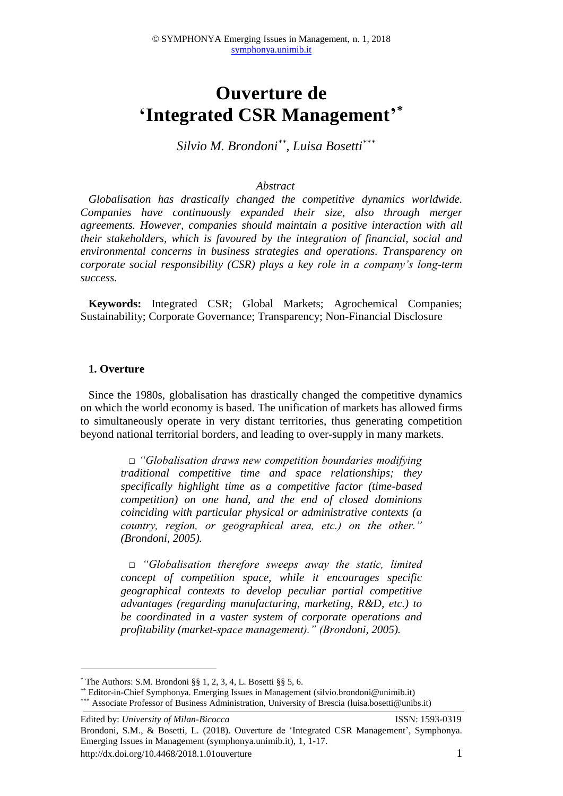# **Ouverture de 'Integrated CSR Management' \***

*Silvio M. Brondoni\*\* , Luisa Bosetti\*\*\**

#### *Abstract*

*Globalisation has drastically changed the competitive dynamics worldwide. Companies have continuously expanded their size, also through merger agreements. However, companies should maintain a positive interaction with all their stakeholders, which is favoured by the integration of financial, social and environmental concerns in business strategies and operations. Transparency on corporate social responsibility (CSR) plays a key role in a company's long-term success.* 

**Keywords:** Integrated CSR; Global Markets; Agrochemical Companies; Sustainability; Corporate Governance; Transparency; Non-Financial Disclosure

#### **1. Overture**

1

Since the 1980s, globalisation has drastically changed the competitive dynamics on which the world economy is based. The unification of markets has allowed firms to simultaneously operate in very distant territories, thus generating competition beyond national territorial borders, and leading to over-supply in many markets.

> *□ "Globalisation draws new competition boundaries modifying traditional competitive time and space relationships; they specifically highlight time as a competitive factor (time-based competition) on one hand, and the end of closed dominions coinciding with particular physical or administrative contexts (a country, region, or geographical area, etc.) on the other." (Brondoni, 2005).*

> *□ "Globalisation therefore sweeps away the static, limited concept of competition space, while it encourages specific geographical contexts to develop peculiar partial competitive advantages (regarding manufacturing, marketing, R&D, etc.) to be coordinated in a vaster system of corporate operations and profitability (market-space management)." (Brondoni, 2005).*

 $*$  The Authors: S.M. Brondoni §§ 1, 2, 3, 4, L. Bosetti §§ 5, 6.

<sup>\*\*</sup> Editor-in-Chief Symphonya. Emerging Issues in Management (silvio.brondoni@unimib.it)

<sup>\*\*\*</sup> Associate Professor of Business Administration, University of Brescia (luisa.bosetti@unibs.it)

Edited by: *University of Milan-Bicocca* ISSN: 1593-0319 Brondoni, S.M., & Bosetti, L. (2018). Ouverture de 'Integrated CSR Management', Symphonya. Emerging Issues in Management (symphonya.unimib.it), 1, 1-17. http://dx.doi.org/10.4468/2018.1.01ouverture 1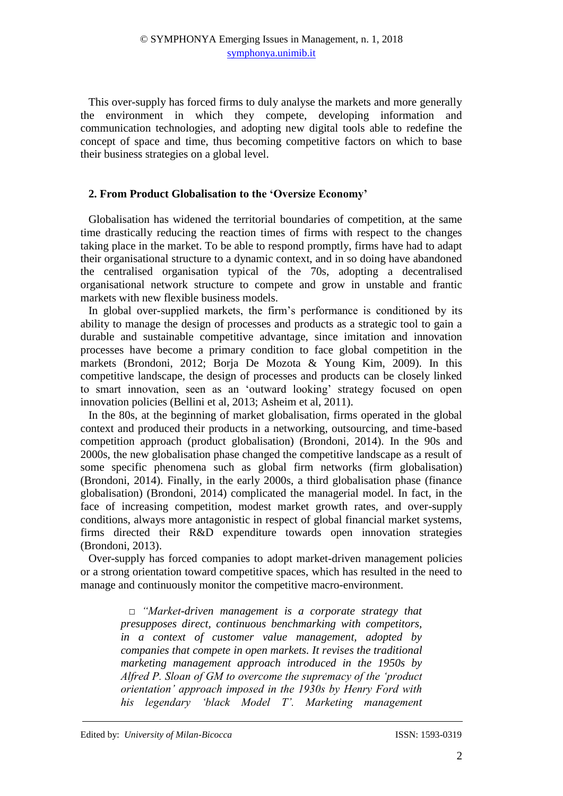This over-supply has forced firms to duly analyse the markets and more generally the environment in which they compete, developing information and communication technologies, and adopting new digital tools able to redefine the concept of space and time, thus becoming competitive factors on which to base their business strategies on a global level.

# **2. From Product Globalisation to the 'Oversize Economy'**

Globalisation has widened the territorial boundaries of competition, at the same time drastically reducing the reaction times of firms with respect to the changes taking place in the market. To be able to respond promptly, firms have had to adapt their organisational structure to a dynamic context, and in so doing have abandoned the centralised organisation typical of the 70s, adopting a decentralised organisational network structure to compete and grow in unstable and frantic markets with new flexible business models.

In global over-supplied markets, the firm's performance is conditioned by its ability to manage the design of processes and products as a strategic tool to gain a durable and sustainable competitive advantage, since imitation and innovation processes have become a primary condition to face global competition in the markets (Brondoni, 2012; Borja De Mozota & Young Kim, 2009). In this competitive landscape, the design of processes and products can be closely linked to smart innovation, seen as an 'outward looking' strategy focused on open innovation policies (Bellini et al, 2013; Asheim et al, 2011).

In the 80s, at the beginning of market globalisation, firms operated in the global context and produced their products in a networking, outsourcing, and time-based competition approach (product globalisation) (Brondoni, 2014). In the 90s and 2000s, the new globalisation phase changed the competitive landscape as a result of some specific phenomena such as global firm networks (firm globalisation) (Brondoni, 2014). Finally, in the early 2000s, a third globalisation phase (finance globalisation) (Brondoni, 2014) complicated the managerial model. In fact, in the face of increasing competition, modest market growth rates, and over-supply conditions, always more antagonistic in respect of global financial market systems, firms directed their R&D expenditure towards open innovation strategies (Brondoni, 2013).

Over-supply has forced companies to adopt market-driven management policies or a strong orientation toward competitive spaces, which has resulted in the need to manage and continuously monitor the competitive macro-environment.

> *□ "Market-driven management is a corporate strategy that presupposes direct, continuous benchmarking with competitors, in a context of customer value management, adopted by companies that compete in open markets. It revises the traditional marketing management approach introduced in the 1950s by Alfred P. Sloan of GM to overcome the supremacy of the 'product orientation' approach imposed in the 1930s by Henry Ford with his legendary 'black Model T'. Marketing management*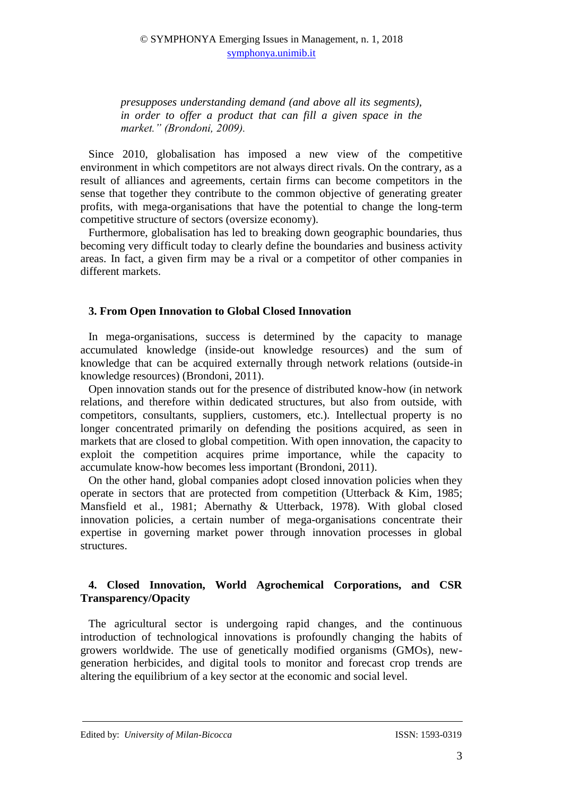*presupposes understanding demand (and above all its segments), in order to offer a product that can fill a given space in the market." (Brondoni, 2009).*

Since 2010, globalisation has imposed a new view of the competitive environment in which competitors are not always direct rivals. On the contrary, as a result of alliances and agreements, certain firms can become competitors in the sense that together they contribute to the common objective of generating greater profits, with mega-organisations that have the potential to change the long-term competitive structure of sectors (oversize economy).

Furthermore, globalisation has led to breaking down geographic boundaries, thus becoming very difficult today to clearly define the boundaries and business activity areas. In fact, a given firm may be a rival or a competitor of other companies in different markets.

# **3. From Open Innovation to Global Closed Innovation**

In mega-organisations, success is determined by the capacity to manage accumulated knowledge (inside-out knowledge resources) and the sum of knowledge that can be acquired externally through network relations (outside-in knowledge resources) (Brondoni, 2011).

Open innovation stands out for the presence of distributed know-how (in network relations, and therefore within dedicated structures, but also from outside, with competitors, consultants, suppliers, customers, etc.). Intellectual property is no longer concentrated primarily on defending the positions acquired, as seen in markets that are closed to global competition. With open innovation, the capacity to exploit the competition acquires prime importance, while the capacity to accumulate know-how becomes less important (Brondoni, 2011).

On the other hand, global companies adopt closed innovation policies when they operate in sectors that are protected from competition (Utterback & Kim, 1985; Mansfield et al., 1981; Abernathy & Utterback, 1978). With global closed innovation policies, a certain number of mega-organisations concentrate their expertise in governing market power through innovation processes in global structures.

# **4. Closed Innovation, World Agrochemical Corporations, and CSR Transparency/Opacity**

The agricultural sector is undergoing rapid changes, and the continuous introduction of technological innovations is profoundly changing the habits of growers worldwide. The use of genetically modified organisms (GMOs), newgeneration herbicides, and digital tools to monitor and forecast crop trends are altering the equilibrium of a key sector at the economic and social level.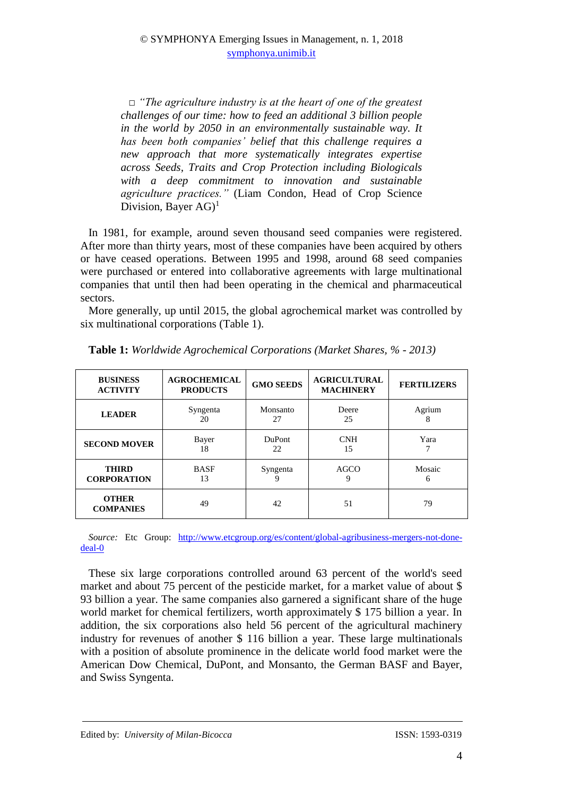□ *"The agriculture industry is at the heart of one of the greatest challenges of our time: how to feed an additional 3 billion people in the world by 2050 in an environmentally sustainable way. It has been both companies' belief that this challenge requires a new approach that more systematically integrates expertise across Seeds, Traits and Crop Protection including Biologicals with a deep commitment to innovation and sustainable agriculture practices."* (Liam Condon, Head of Crop Science Division, Bayer  $AG$ <sup>1</sup>

In 1981, for example, around seven thousand seed companies were registered. After more than thirty years, most of these companies have been acquired by others or have ceased operations. Between 1995 and 1998, around 68 seed companies were purchased or entered into collaborative agreements with large multinational companies that until then had been operating in the chemical and pharmaceutical sectors.

More generally, up until 2015, the global agrochemical market was controlled by six multinational corporations (Table 1).

| <b>BUSINESS</b><br><b>ACTIVITY</b> | <b>AGROCHEMICAL</b><br><b>PRODUCTS</b> | <b>GMO SEEDS</b>    | <b>AGRICULTURAL</b><br><b>MACHINERY</b> | <b>FERTILIZERS</b> |
|------------------------------------|----------------------------------------|---------------------|-----------------------------------------|--------------------|
| <b>LEADER</b>                      | Syngenta<br>20                         | Monsanto<br>27      | Deere<br>25                             | Agrium<br>8        |
| <b>SECOND MOVER</b>                | Bayer<br>18                            | <b>DuPont</b><br>22 | <b>CNH</b><br>15                        | Yara               |
| <b>THIRD</b><br><b>CORPORATION</b> | <b>BASF</b><br>13                      | Syngenta<br>9       | AGCO<br>9                               | Mosaic<br>6        |
| <b>OTHER</b><br><b>COMPANIES</b>   | 49                                     | 42                  | 51                                      | 79                 |

**Table 1:** *Worldwide Agrochemical Corporations (Market Shares, % - 2013)*

*Source:* Etc Group: [http://www.etcgroup.org/es/content/global-agribusiness-mergers-not-done](http://www.etcgroup.org/es/content/global-agribusiness-mergers-not-done-deal-0)[deal-0](http://www.etcgroup.org/es/content/global-agribusiness-mergers-not-done-deal-0)

These six large corporations controlled around 63 percent of the world's seed market and about 75 percent of the pesticide market, for a market value of about \$ 93 billion a year. The same companies also garnered a significant share of the huge world market for chemical fertilizers, worth approximately \$ 175 billion a year. In addition, the six corporations also held 56 percent of the agricultural machinery industry for revenues of another \$ 116 billion a year. These large multinationals with a position of absolute prominence in the delicate world food market were the American Dow Chemical, DuPont, and Monsanto, the German BASF and Bayer, and Swiss Syngenta.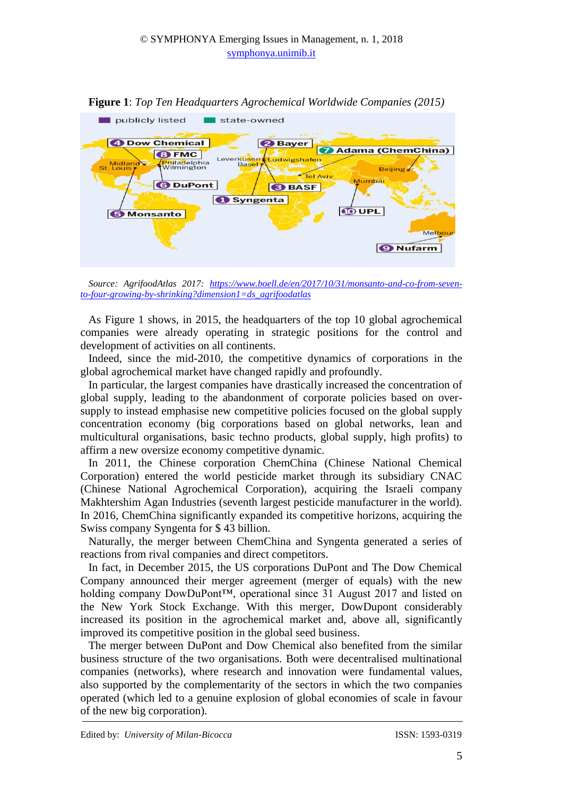

**Figure 1**: *Top Ten Headquarters Agrochemical Worldwide Companies (2015)*

As Figure 1 shows, in 2015, the headquarters of the top 10 global agrochemical companies were already operating in strategic positions for the control and development of activities on all continents.

Indeed, since the mid-2010, the competitive dynamics of corporations in the global agrochemical market have changed rapidly and profoundly.

In particular, the largest companies have drastically increased the concentration of global supply, leading to the abandonment of corporate policies based on oversupply to instead emphasise new competitive policies focused on the global supply concentration economy (big corporations based on global networks, lean and multicultural organisations, basic techno products, global supply, high profits) to affirm a new oversize economy competitive dynamic.

In 2011, the Chinese corporation ChemChina (Chinese National Chemical Corporation) entered the world pesticide market through its subsidiary CNAC (Chinese National Agrochemical Corporation), acquiring the Israeli company Makhtershim Agan Industries (seventh largest pesticide manufacturer in the world). In 2016, ChemChina significantly expanded its competitive horizons, acquiring the Swiss company Syngenta for \$ 43 billion.

Naturally, the merger between ChemChina and Syngenta generated a series of reactions from rival companies and direct competitors.

In fact, in December 2015, the US corporations DuPont and The Dow Chemical Company announced their merger agreement (merger of equals) with the new holding company DowDuPont™, operational since 31 August 2017 and listed on the New York Stock Exchange. With this merger, DowDupont considerably increased its position in the agrochemical market and, above all, significantly improved its competitive position in the global seed business.

The merger between DuPont and Dow Chemical also benefited from the similar business structure of the two organisations. Both were decentralised multinational companies (networks), where research and innovation were fundamental values, also supported by the complementarity of the sectors in which the two companies operated (which led to a genuine explosion of global economies of scale in favour of the new big corporation).

*Source: AgrifoodAtlas 2017: [https://www.boell.de/en/2017/10/31/monsanto-and-co-from-seven](https://www.boell.de/en/2017/10/31/monsanto-and-co-from-seven-to-four-growing-by-shrinking?dimension1=ds_agrifoodatlas)[to-four-growing-by-shrinking?dimension1=ds\\_agrifoodatlas](https://www.boell.de/en/2017/10/31/monsanto-and-co-from-seven-to-four-growing-by-shrinking?dimension1=ds_agrifoodatlas)*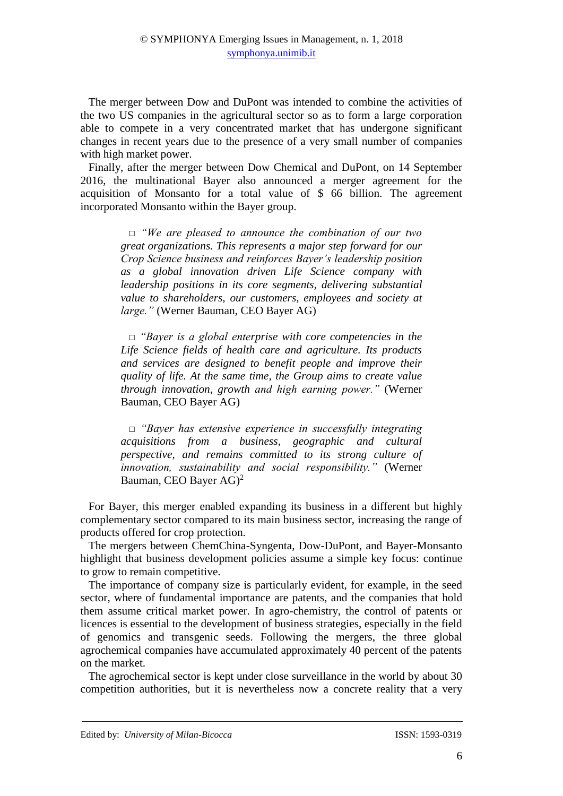The merger between Dow and DuPont was intended to combine the activities of the two US companies in the agricultural sector so as to form a large corporation able to compete in a very concentrated market that has undergone significant changes in recent years due to the presence of a very small number of companies with high market power.

Finally, after the merger between Dow Chemical and DuPont, on 14 September 2016, the multinational Bayer also announced a merger agreement for the acquisition of Monsanto for a total value of \$ 66 billion. The agreement incorporated Monsanto within the Bayer group.

> □ *"We are pleased to announce the combination of our two great organizations. This represents a major step forward for our Crop Science business and reinforces Bayer's leadership position as a global innovation driven Life Science company with leadership positions in its core segments, delivering substantial value to shareholders, our customers, employees and society at large."* (Werner Bauman, CEO Bayer AG)

> □ *"Bayer is a global enterprise with core competencies in the Life Science fields of health care and agriculture. Its products and services are designed to benefit people and improve their quality of life. At the same time, the Group aims to create value through innovation, growth and high earning power."* (Werner Bauman, CEO Bayer AG)

> □ *"Bayer has extensive experience in successfully integrating acquisitions from a business, geographic and cultural perspective, and remains committed to its strong culture of innovation, sustainability and social responsibility."* (Werner Bauman, CEO Bayer AG)<sup>2</sup>

For Bayer, this merger enabled expanding its business in a different but highly complementary sector compared to its main business sector, increasing the range of products offered for crop protection.

The mergers between ChemChina-Syngenta, Dow-DuPont, and Bayer-Monsanto highlight that business development policies assume a simple key focus: continue to grow to remain competitive.

The importance of company size is particularly evident, for example, in the seed sector, where of fundamental importance are patents, and the companies that hold them assume critical market power. In agro-chemistry, the control of patents or licences is essential to the development of business strategies, especially in the field of genomics and transgenic seeds. Following the mergers, the three global agrochemical companies have accumulated approximately 40 percent of the patents on the market.

The agrochemical sector is kept under close surveillance in the world by about 30 competition authorities, but it is nevertheless now a concrete reality that a very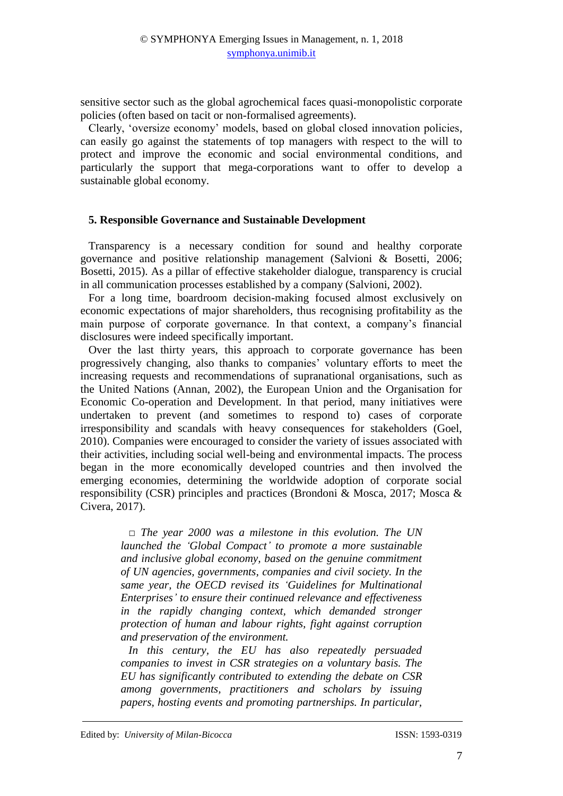sensitive sector such as the global agrochemical faces quasi-monopolistic corporate policies (often based on tacit or non-formalised agreements).

Clearly, 'oversize economy' models, based on global closed innovation policies, can easily go against the statements of top managers with respect to the will to protect and improve the economic and social environmental conditions, and particularly the support that mega-corporations want to offer to develop a sustainable global economy.

#### **5. Responsible Governance and Sustainable Development**

Transparency is a necessary condition for sound and healthy corporate governance and positive relationship management (Salvioni & Bosetti, 2006; Bosetti, 2015). As a pillar of effective stakeholder dialogue, transparency is crucial in all communication processes established by a company (Salvioni, 2002).

For a long time, boardroom decision-making focused almost exclusively on economic expectations of major shareholders, thus recognising profitability as the main purpose of corporate governance. In that context, a company's financial disclosures were indeed specifically important.

Over the last thirty years, this approach to corporate governance has been progressively changing, also thanks to companies' voluntary efforts to meet the increasing requests and recommendations of supranational organisations, such as the United Nations (Annan, 2002), the European Union and the Organisation for Economic Co-operation and Development. In that period, many initiatives were undertaken to prevent (and sometimes to respond to) cases of corporate irresponsibility and scandals with heavy consequences for stakeholders (Goel, 2010). Companies were encouraged to consider the variety of issues associated with their activities, including social well-being and environmental impacts. The process began in the more economically developed countries and then involved the emerging economies, determining the worldwide adoption of corporate social responsibility (CSR) principles and practices (Brondoni & Mosca, 2017; Mosca & Civera, 2017).

> □ *The year 2000 was a milestone in this evolution. The UN launched the 'Global Compact' to promote a more sustainable and inclusive global economy, based on the genuine commitment of UN agencies, governments, companies and civil society. In the same year, the OECD revised its 'Guidelines for Multinational Enterprises' to ensure their continued relevance and effectiveness in the rapidly changing context, which demanded stronger protection of human and labour rights, fight against corruption and preservation of the environment.*

> *In this century, the EU has also repeatedly persuaded companies to invest in CSR strategies on a voluntary basis. The EU has significantly contributed to extending the debate on CSR among governments, practitioners and scholars by issuing papers, hosting events and promoting partnerships. In particular,*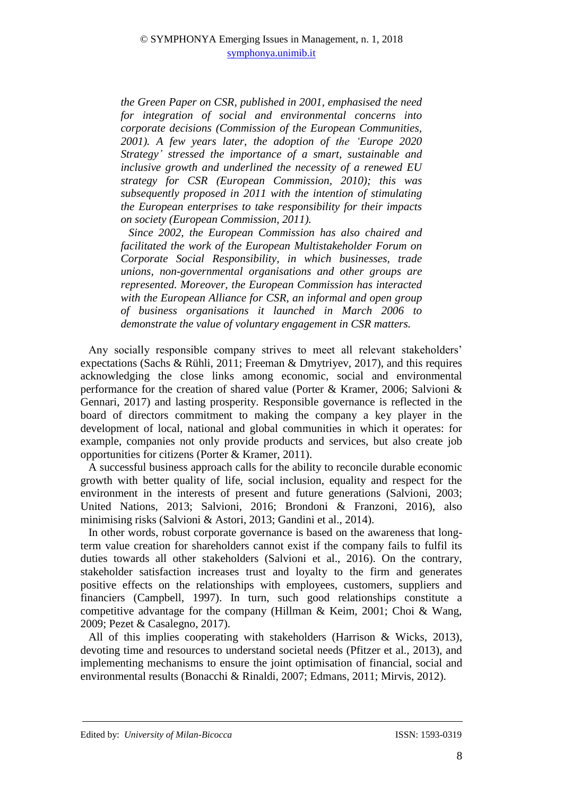*the Green Paper on CSR, published in 2001, emphasised the need for integration of social and environmental concerns into corporate decisions (Commission of the European Communities, 2001). A few years later, the adoption of the 'Europe 2020 Strategy' stressed the importance of a smart, sustainable and inclusive growth and underlined the necessity of a renewed EU strategy for CSR (European Commission, 2010); this was subsequently proposed in 2011 with the intention of stimulating the European enterprises to take responsibility for their impacts on society (European Commission, 2011).* 

*Since 2002, the European Commission has also chaired and facilitated the work of the European Multistakeholder Forum on Corporate Social Responsibility, in which businesses, trade unions, non-governmental organisations and other groups are represented. Moreover, the European Commission has interacted with the European Alliance for CSR, an informal and open group of business organisations it launched in March 2006 to demonstrate the value of voluntary engagement in CSR matters.*

Any socially responsible company strives to meet all relevant stakeholders' expectations (Sachs & Rühli, 2011; Freeman & Dmytriyev, 2017), and this requires acknowledging the close links among economic, social and environmental performance for the creation of shared value (Porter & Kramer, 2006; Salvioni & Gennari, 2017) and lasting prosperity. Responsible governance is reflected in the board of directors commitment to making the company a key player in the development of local, national and global communities in which it operates: for example, companies not only provide products and services, but also create job opportunities for citizens (Porter & Kramer, 2011).

A successful business approach calls for the ability to reconcile durable economic growth with better quality of life, social inclusion, equality and respect for the environment in the interests of present and future generations (Salvioni, 2003; United Nations, 2013; Salvioni, 2016; Brondoni & Franzoni, 2016), also minimising risks (Salvioni & Astori, 2013; Gandini et al., 2014).

In other words, robust corporate governance is based on the awareness that longterm value creation for shareholders cannot exist if the company fails to fulfil its duties towards all other stakeholders (Salvioni et al., 2016). On the contrary, stakeholder satisfaction increases trust and loyalty to the firm and generates positive effects on the relationships with employees, customers, suppliers and financiers (Campbell, 1997). In turn, such good relationships constitute a competitive advantage for the company (Hillman & Keim, 2001; Choi & Wang, 2009; Pezet & Casalegno, 2017).

All of this implies cooperating with stakeholders (Harrison & Wicks, 2013), devoting time and resources to understand societal needs (Pfitzer et al., 2013), and implementing mechanisms to ensure the joint optimisation of financial, social and environmental results (Bonacchi & Rinaldi, 2007; Edmans, 2011; Mirvis, 2012).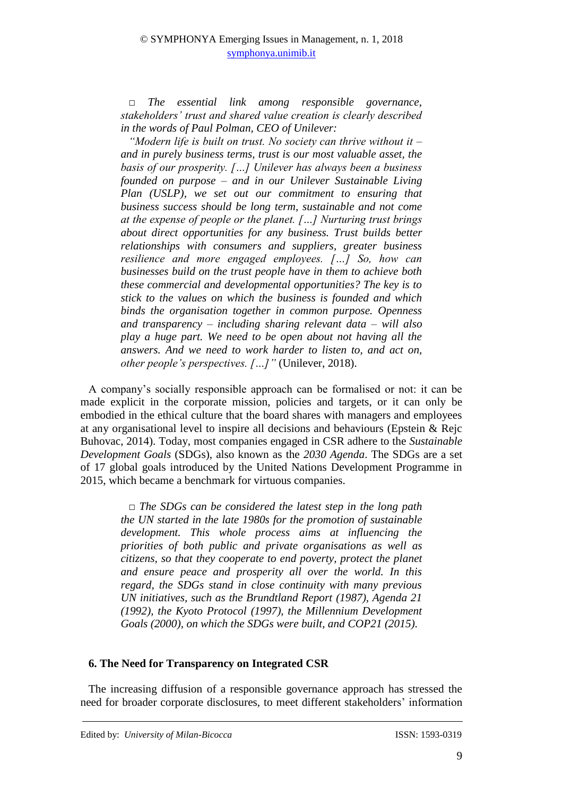□ *The essential link among responsible governance, stakeholders' trust and shared value creation is clearly described in the words of Paul Polman, CEO of Unilever:*

*"Modern life is built on trust. No society can thrive without it – and in purely business terms, trust is our most valuable asset, the basis of our prosperity. […] Unilever has always been a business founded on purpose – and in our Unilever Sustainable Living Plan (USLP), we set out our commitment to ensuring that business success should be long term, sustainable and not come at the expense of people or the planet. […] Nurturing trust brings about direct opportunities for any business. Trust builds better relationships with consumers and suppliers, greater business resilience and more engaged employees. […] So, how can businesses build on the trust people have in them to achieve both these commercial and developmental opportunities? The key is to stick to the values on which the business is founded and which binds the organisation together in common purpose. Openness and transparency – including sharing relevant data – will also play a huge part. We need to be open about not having all the answers. And we need to work harder to listen to, and act on, other people's perspectives. […]"* (Unilever, 2018).

A company's socially responsible approach can be formalised or not: it can be made explicit in the corporate mission, policies and targets, or it can only be embodied in the ethical culture that the board shares with managers and employees at any organisational level to inspire all decisions and behaviours (Epstein & Rejc Buhovac, 2014). Today, most companies engaged in CSR adhere to the *Sustainable Development Goals* (SDGs), also known as the *2030 Agenda*. The SDGs are a set of 17 global goals introduced by the United Nations Development Programme in 2015, which became a benchmark for virtuous companies.

> □ *The SDGs can be considered the latest step in the long path the UN started in the late 1980s for the promotion of sustainable development. This whole process aims at influencing the priorities of both public and private organisations as well as citizens, so that they cooperate to end poverty, protect the planet and ensure peace and prosperity all over the world. In this regard, the SDGs stand in close continuity with many previous UN initiatives, such as the Brundtland Report (1987), Agenda 21 (1992), the Kyoto Protocol (1997), the Millennium Development Goals (2000), on which the SDGs were built, and COP21 (2015).*

# **6. The Need for Transparency on Integrated CSR**

The increasing diffusion of a responsible governance approach has stressed the need for broader corporate disclosures, to meet different stakeholders' information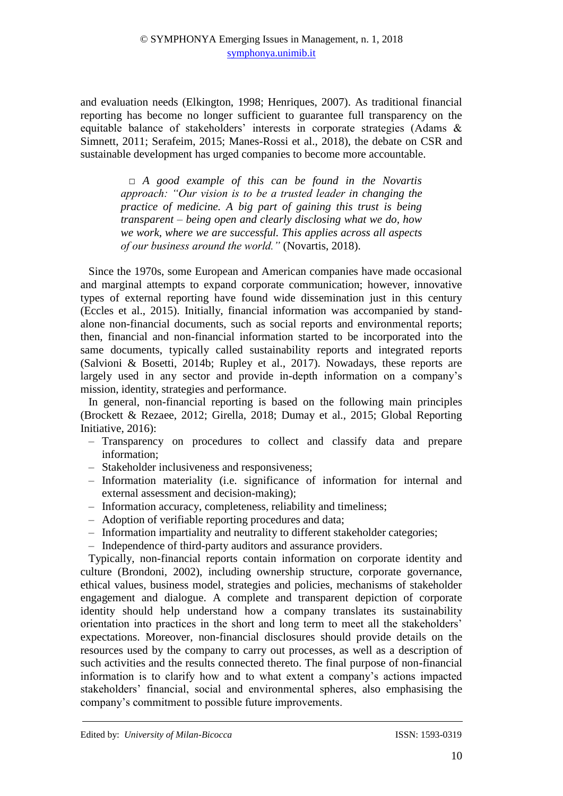and evaluation needs (Elkington, 1998; Henriques, 2007). As traditional financial reporting has become no longer sufficient to guarantee full transparency on the equitable balance of stakeholders' interests in corporate strategies (Adams & Simnett, 2011; Serafeim, 2015; Manes-Rossi et al., 2018), the debate on CSR and sustainable development has urged companies to become more accountable.

> □ *A good example of this can be found in the Novartis approach: "Our vision is to be a trusted leader in changing the practice of medicine. A big part of gaining this trust is being transparent – being open and clearly disclosing what we do, how we work, where we are successful. This applies across all aspects of our business around the world."* (Novartis, 2018).

Since the 1970s, some European and American companies have made occasional and marginal attempts to expand corporate communication; however, innovative types of external reporting have found wide dissemination just in this century (Eccles et al., 2015). Initially, financial information was accompanied by standalone non-financial documents, such as social reports and environmental reports; then, financial and non-financial information started to be incorporated into the same documents, typically called sustainability reports and integrated reports (Salvioni & Bosetti, 2014b; Rupley et al., 2017). Nowadays, these reports are largely used in any sector and provide in-depth information on a company's mission, identity, strategies and performance.

In general, non-financial reporting is based on the following main principles (Brockett & Rezaee, 2012; Girella, 2018; Dumay et al., 2015; Global Reporting Initiative, 2016):

- ‒ Transparency on procedures to collect and classify data and prepare information;
- ‒ Stakeholder inclusiveness and responsiveness;
- ‒ Information materiality (i.e. significance of information for internal and external assessment and decision-making);
- ‒ Information accuracy, completeness, reliability and timeliness;
- ‒ Adoption of verifiable reporting procedures and data;
- ‒ Information impartiality and neutrality to different stakeholder categories;
- ‒ Independence of third-party auditors and assurance providers.

Typically, non-financial reports contain information on corporate identity and culture (Brondoni, 2002), including ownership structure, corporate governance, ethical values, business model, strategies and policies, mechanisms of stakeholder engagement and dialogue. A complete and transparent depiction of corporate identity should help understand how a company translates its sustainability orientation into practices in the short and long term to meet all the stakeholders' expectations. Moreover, non-financial disclosures should provide details on the resources used by the company to carry out processes, as well as a description of such activities and the results connected thereto. The final purpose of non-financial information is to clarify how and to what extent a company's actions impacted stakeholders' financial, social and environmental spheres, also emphasising the company's commitment to possible future improvements.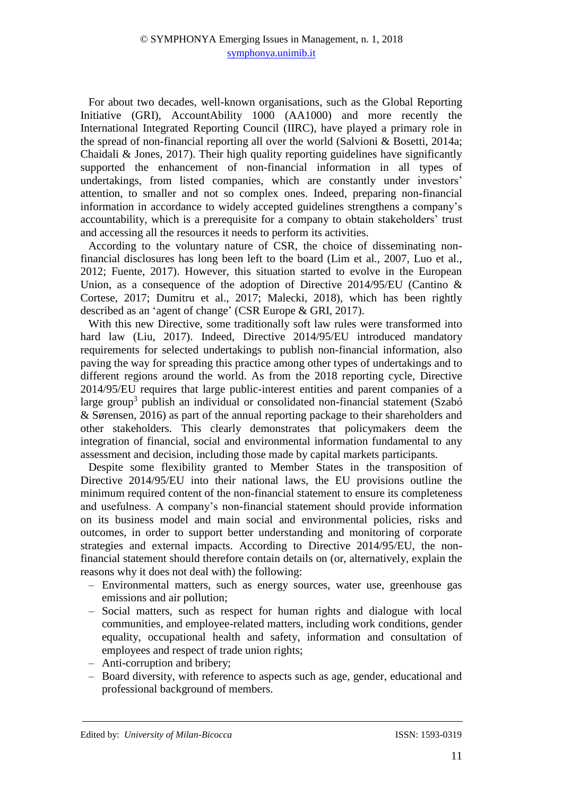For about two decades, well-known organisations, such as the Global Reporting Initiative (GRI), AccountAbility 1000 (AA1000) and more recently the International Integrated Reporting Council (IIRC), have played a primary role in the spread of non-financial reporting all over the world (Salvioni & Bosetti, 2014a; Chaidali & Jones, 2017). Their high quality reporting guidelines have significantly supported the enhancement of non-financial information in all types of undertakings, from listed companies, which are constantly under investors' attention, to smaller and not so complex ones. Indeed, preparing non-financial information in accordance to widely accepted guidelines strengthens a company's accountability, which is a prerequisite for a company to obtain stakeholders' trust and accessing all the resources it needs to perform its activities.

According to the voluntary nature of CSR, the choice of disseminating nonfinancial disclosures has long been left to the board (Lim et al., 2007, Luo et al., 2012; Fuente, 2017). However, this situation started to evolve in the European Union, as a consequence of the adoption of Directive 2014/95/EU (Cantino & Cortese, 2017; Dumitru et al., 2017; Malecki, 2018), which has been rightly described as an 'agent of change' (CSR Europe & GRI, 2017).

With this new Directive, some traditionally soft law rules were transformed into hard law (Liu, 2017). Indeed, Directive 2014/95/EU introduced mandatory requirements for selected undertakings to publish non-financial information, also paving the way for spreading this practice among other types of undertakings and to different regions around the world. As from the 2018 reporting cycle, Directive 2014/95/EU requires that large public-interest entities and parent companies of a large group<sup>3</sup> publish an individual or consolidated non-financial statement (Szabó & Sørensen, 2016) as part of the annual reporting package to their shareholders and other stakeholders. This clearly demonstrates that policymakers deem the integration of financial, social and environmental information fundamental to any assessment and decision, including those made by capital markets participants.

Despite some flexibility granted to Member States in the transposition of Directive 2014/95/EU into their national laws, the EU provisions outline the minimum required content of the non-financial statement to ensure its completeness and usefulness. A company's non-financial statement should provide information on its business model and main social and environmental policies, risks and outcomes, in order to support better understanding and monitoring of corporate strategies and external impacts. According to Directive 2014/95/EU, the nonfinancial statement should therefore contain details on (or, alternatively, explain the reasons why it does not deal with) the following:

- ‒ Environmental matters, such as energy sources, water use, greenhouse gas emissions and air pollution;
- ‒ Social matters, such as respect for human rights and dialogue with local communities, and employee-related matters, including work conditions, gender equality, occupational health and safety, information and consultation of employees and respect of trade union rights;
- ‒ Anti-corruption and bribery;
- ‒ Board diversity, with reference to aspects such as age, gender, educational and professional background of members.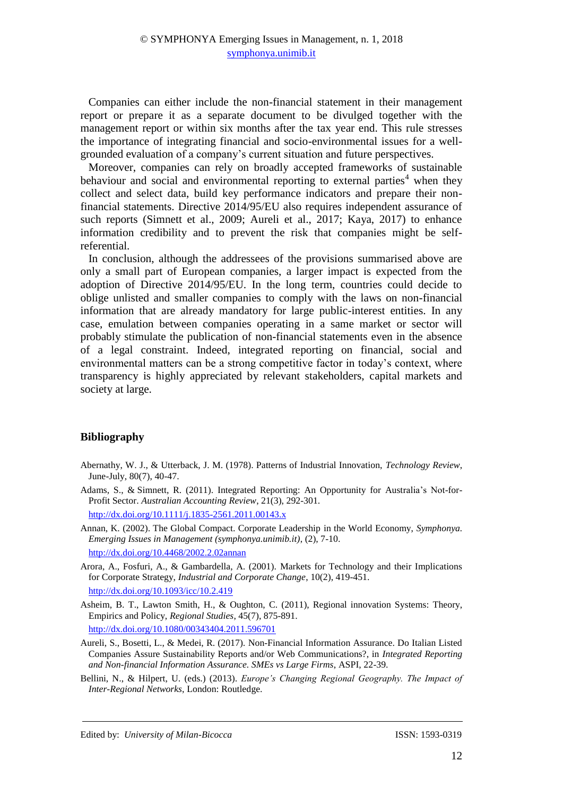Companies can either include the non-financial statement in their management report or prepare it as a separate document to be divulged together with the management report or within six months after the tax year end. This rule stresses the importance of integrating financial and socio-environmental issues for a wellgrounded evaluation of a company's current situation and future perspectives.

Moreover, companies can rely on broadly accepted frameworks of sustainable behaviour and social and environmental reporting to external parties<sup>4</sup> when they collect and select data, build key performance indicators and prepare their nonfinancial statements. Directive 2014/95/EU also requires independent assurance of such reports (Simnett et al., 2009; Aureli et al., 2017; Kaya, 2017) to enhance information credibility and to prevent the risk that companies might be selfreferential.

In conclusion, although the addressees of the provisions summarised above are only a small part of European companies, a larger impact is expected from the adoption of Directive 2014/95/EU. In the long term, countries could decide to oblige unlisted and smaller companies to comply with the laws on non-financial information that are already mandatory for large public-interest entities. In any case, emulation between companies operating in a same market or sector will probably stimulate the publication of non-financial statements even in the absence of a legal constraint. Indeed, integrated reporting on financial, social and environmental matters can be a strong competitive factor in today's context, where transparency is highly appreciated by relevant stakeholders, capital markets and society at large.

### **Bibliography**

- Abernathy, W. J., & Utterback, J. M. (1978). Patterns of Industrial Innovation, *Technology Review*, June-July, 80(7), 40-47.
- Adams, S., & Simnett, R. (2011). Integrated Reporting: An Opportunity for Australia's Not-for-Profit Sector. *Australian Accounting Review*, 21(3), 292-301. <http://dx.doi.org/10.1111/j.1835-2561.2011.00143.x>
- Annan, K. (2002). The Global Compact. Corporate Leadership in the World Economy, *Symphonya. Emerging Issues in Management (symphonya.unimib.it)*, (2), 7-10. <http://dx.doi.org/10.4468/2002.2.02annan>
- Arora, A., Fosfuri, A., & Gambardella, A. (2001). Markets for Technology and their Implications for Corporate Strategy, *Industrial and Corporate Change*, 10(2), 419-451. <http://dx.doi.org/10.1093/icc/10.2.419>
- Asheim, B. T., Lawton Smith, H., & Oughton, C. (2011), Regional innovation Systems: Theory, Empirics and Policy, *Regional Studies*, 45(7), 875-891.

<http://dx.doi.org/10.1080/00343404.2011.596701>

- Aureli, S., Bosetti, L., & Medei, R. (2017). Non-Financial Information Assurance. Do Italian Listed Companies Assure Sustainability Reports and/or Web Communications?, in *Integrated Reporting and Non-financial Information Assurance. SMEs vs Large Firms*, ASPI, 22-39.
- Bellini, N., & Hilpert, U. (eds.) (2013). *Europe's Changing Regional Geography. The Impact of Inter-Regional Networks*, London: Routledge.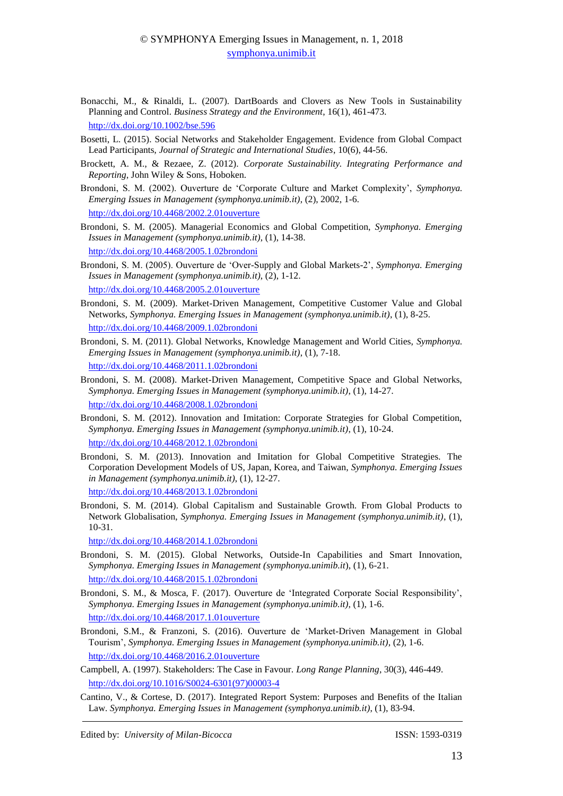- Bonacchi, M., & Rinaldi, L. (2007). DartBoards and Clovers as New Tools in Sustainability Planning and Control. *Business Strategy and the Environment*, 16(1), 461-473. <http://dx.doi.org/10.1002/bse.596>
- Bosetti, L. (2015). Social Networks and Stakeholder Engagement. Evidence from Global Compact Lead Participants, *Journal of Strategic and International Studies*, 10(6), 44-56.
- Brockett, A. M., & Rezaee, Z. (2012). *Corporate Sustainability. Integrating Performance and Reporting*, John Wiley & Sons, Hoboken.
- Brondoni, S. M. (2002). Ouverture de 'Corporate Culture and Market Complexity', *Symphonya. Emerging Issues in Management (symphonya.unimib.it)*, (2), 2002, 1-6. <http://dx.doi.org/10.4468/2002.2.01ouverture>
- Brondoni, S. M. (2005). Managerial Economics and Global Competition, *Symphonya. Emerging Issues in Management (symphonya.unimib.it)*, (1), 14-38. <http://dx.doi.org/10.4468/2005.1.02brondoni>
- Brondoni, S. M. (2005). Ouverture de 'Over-Supply and Global Markets-2', *Symphonya. Emerging Issues in Management [\(symphonya.unimib.it\)](http://www.unimib.it/symphonya)*, (2), 1-12. <http://dx.doi.org/10.4468/2005.2.01ouverture>
- Brondoni, S. M. (2009). Market-Driven Management, Competitive Customer Value and Global Networks, *Symphonya. Emerging Issues in Management (symphonya.unimib.it)*, (1), 8-25. <http://dx.doi.org/10.4468/2009.1.02brondoni>
- Brondoni, S. M. (2011). Global Networks, Knowledge Management and World Cities, *Symphonya. Emerging Issues in Management (symphonya.unimib.it)*, (1), 7-18. <http://dx.doi.org/10.4468/2011.1.02brondoni>
- Brondoni, S. M. (2008). Market-Driven Management, Competitive Space and Global Networks, *Symphonya. Emerging Issues in Management (symphonya.unimib.it)*, (1), 14-27. <http://dx.doi.org/10.4468/2008.1.02brondoni>
- Brondoni, S. M. (2012). Innovation and Imitation: Corporate Strategies for Global Competition, *Symphonya. Emerging Issues in Management (symphonya.unimib.it)*, (1), 10-24. <http://dx.doi.org/10.4468/2012.1.02brondoni>
- Brondoni, S. M. (2013). Innovation and Imitation for Global Competitive Strategies. The Corporation Development Models of US, Japan, Korea, and Taiwan, *Symphonya. Emerging Issues in Management (symphonya.unimib.it)*, (1), 12-27. <http://dx.doi.org/10.4468/2013.1.02brondoni>
- Brondoni, S. M. (2014). Global Capitalism and Sustainable Growth. From Global Products to Network Globalisation, *Symphonya. Emerging Issues in Management (symphonya.unimib.it)*, (1), 10-31.

<http://dx.doi.org/10.4468/2014.1.02brondoni>

- Brondoni, S. M. (2015). Global Networks, Outside-In Capabilities and Smart Innovation, *Symphonya. Emerging Issues in Management (symphonya.unimib.it*), (1), 6-21. <http://dx.doi.org/10.4468/2015.1.02brondoni>
- Brondoni, S. M., & Mosca, F. (2017). Ouverture de 'Integrated Corporate Social Responsibility', *Symphonya. Emerging Issues in Management (symphonya.unimib.it)*, (1), 1-6. <http://dx.doi.org/10.4468/2017.1.01ouverture>
- Brondoni, S.M., & Franzoni, S. (2016). Ouverture de 'Market-Driven Management in Global Tourism', *Symphonya. Emerging Issues in Management (symphonya.unimib.it)*, (2), 1-6. <http://dx.doi.org/10.4468/2016.2.01ouverture>

Campbell, A. (1997). Stakeholders: The Case in Favour. *Long Range Planning*, 30(3), 446-449. [http://dx.doi.org/10.1016/S0024-6301\(97\)00003-4](http://dx.doi.org/10.1016/S0024-6301(97)00003-4)

Cantino, V., & Cortese, D. (2017). Integrated Report System: Purposes and Benefits of the Italian Law. *Symphonya. Emerging Issues in Management (symphonya.unimib.it)*, (1), 83-94.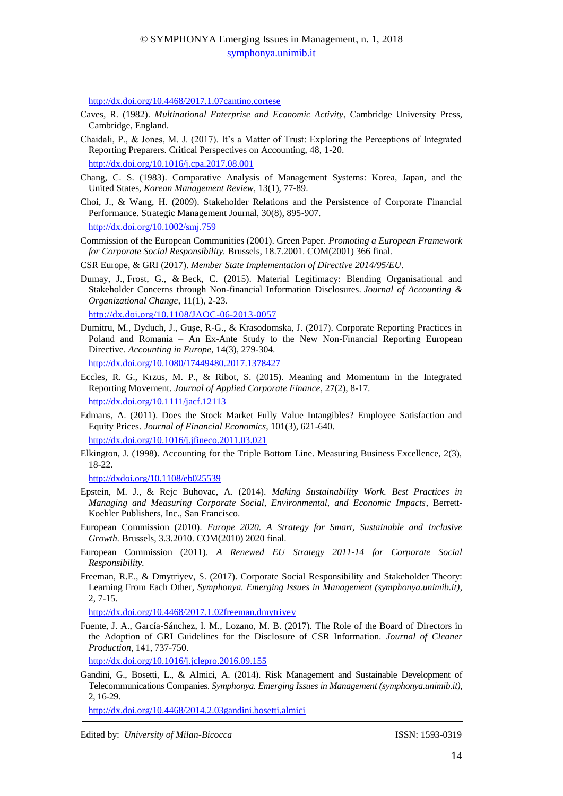<http://dx.doi.org/10.4468/2017.1.07cantino.cortese>

- Caves, R. (1982). *Multinational Enterprise and Economic Activity*, Cambridge University Press, Cambridge, England.
- Chaidali, P., & Jones, M. J. (2017). It's a Matter of Trust: Exploring the Perceptions of Integrated Reporting Preparers. Critical Perspectives on Accounting, 48, 1-20.

<http://dx.doi.org/10.1016/j.cpa.2017.08.001>

- Chang, C. S. (1983). Comparative Analysis of Management Systems: Korea, Japan, and the United States, *Korean Management Review*, 13(1), 77-89.
- Choi, J., & Wang, H. (2009). Stakeholder Relations and the Persistence of Corporate Financial Performance. Strategic Management Journal, 30(8), 895-907. <http://dx.doi.org/10.1002/smj.759>
- Commission of the European Communities (2001). Green Paper. *Promoting a European Framework for Corporate Social Responsibility.* Brussels, 18.7.2001. COM(2001) 366 final.
- CSR Europe, & GRI (2017). *Member State Implementation of Directive 2014/95/EU.*
- Dumay, J., Frost, G., & Beck, C. (2015). Material Legitimacy: Blending Organisational and Stakeholder Concerns through Non-financial Information Disclosures. *Journal of Accounting & Organizational Change*, 11(1), 2-23.

<http://dx.doi.org/10.1108/JAOC-06-2013-0057>

Dumitru, M., Dyduch, J., Gușe, R-G., & Krasodomska, J. (2017). Corporate Reporting Practices in Poland and Romania – An Ex-Ante Study to the New Non-Financial Reporting European Directive. *Accounting in Europe*, 14(3), 279-304.

<http://dx.doi.org/10.1080/17449480.2017.1378427>

- Eccles, R. G., Krzus, M. P., & Ribot, S. (2015). Meaning and Momentum in the Integrated Reporting Movement. *Journal of Applied Corporate Finance*, 27(2), 8-17. <http://dx.doi.org/10.1111/jacf.12113>
- Edmans, A. (2011). Does the Stock Market Fully Value Intangibles? Employee Satisfaction and Equity Prices. *Journal of Financial Economics*, 101(3), 621-640. <http://dx.doi.org/10.1016/j.jfineco.2011.03.021>
- Elkington, J. (1998). Accounting for the Triple Bottom Line. Measuring Business Excellence, 2(3), 18-22.

<http://dxdoi.org/10.1108/eb025539>

- Epstein, M. J., & Rejc Buhovac, A. (2014). *Making Sustainability Work. Best Practices in Managing and Measuring Corporate Social, Environmental, and Economic Impacts*, Berrett-Koehler Publishers, Inc., San Francisco.
- European Commission (2010). *Europe 2020. A Strategy for Smart, Sustainable and Inclusive Growth.* Brussels, 3.3.2010. COM(2010) 2020 final.
- European Commission (2011). *A Renewed EU Strategy 2011-14 for Corporate Social Responsibility.*
- Freeman, R.E., & Dmytriyev, S. (2017). Corporate Social Responsibility and Stakeholder Theory: Learning From Each Other, *Symphonya. Emerging Issues in Management (symphonya.unimib.it)*, 2, 7-15.

<http://dx.doi.org/10.4468/2017.1.02freeman.dmytriyev>

Fuente, J. A., García-Sánchez, I. M., Lozano, M. B. (2017). The Role of the Board of Directors in the Adoption of GRI Guidelines for the Disclosure of CSR Information. *Journal of Cleaner Production*, 141, 737-750.

<http://dx.doi.org/10.1016/j.jclepro.2016.09.155>

Gandini, G., Bosetti, L., & Almici, A. (2014). Risk Management and Sustainable Development of Telecommunications Companies. *Symphonya. Emerging Issues in Management (symphonya.unimib.it)*, 2, 16-29.

<http://dx.doi.org/10.4468/2014.2.03gandini.bosetti.almici>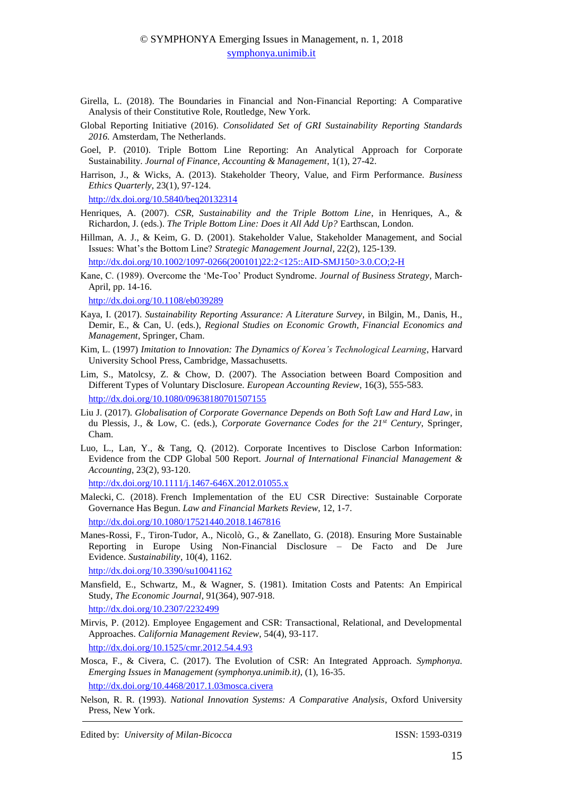- Girella, L. (2018). The Boundaries in Financial and Non-Financial Reporting: A Comparative Analysis of their Constitutive Role, Routledge, New York.
- Global Reporting Initiative (2016). *Consolidated Set of GRI Sustainability Reporting Standards 2016.* Amsterdam, The Netherlands.
- Goel, P. (2010). Triple Bottom Line Reporting: An Analytical Approach for Corporate Sustainability. *Journal of Finance, Accounting & Management*, 1(1), 27-42.
- Harrison, J., & Wicks, A. (2013). Stakeholder Theory, Value, and Firm Performance. *Business Ethics Quarterly*, 23(1), 97-124.

<http://dx.doi.org/10.5840/beq20132314>

- Henriques, A. (2007). *CSR, Sustainability and the Triple Bottom Line*, in Henriques, A., & Richardon, J. (eds.). *The Triple Bottom Line: Does it All Add Up?* Earthscan, London.
- Hillman, A. J., & Keim, G. D. (2001). Stakeholder Value, Stakeholder Management, and Social Issues: What's the Bottom Line? *Strategic Management Journal*, 22(2), 125-139.

[http://dx.doi.org/10.1002/1097-0266\(200101\)22:2<125::AID-SMJ150>3.0.CO;2-H](http://dx.doi.org/10.1002/1097-0266(200101)22:2%3c125::AID-SMJ150%3e3.0.CO;2-H)

Kane, C. (1989). Overcome the 'Me-Too' Product Syndrome. *Journal of Business Strategy*, March-April, pp. 14-16.

<http://dx.doi.org/10.1108/eb039289>

- Kaya, I. (2017). *Sustainability Reporting Assurance: A Literature Survey*, in Bilgin, M., Danis, H., Demir, E., & Can, U. (eds.), *Regional Studies on Economic Growth, Financial Economics and Management*, Springer, Cham.
- Kim, L. (1997) *Imitation to Innovation: The Dynamics of Korea's Technological Learning*, Harvard University School Press, Cambridge, Massachusetts.
- Lim, S., Matolcsy, Z. & Chow, D. (2007). The Association between Board Composition and Different Types of Voluntary Disclosure. *European Accounting Review*, 16(3), 555-583. <http://dx.doi.org/10.1080/09638180701507155>
- Liu J. (2017). *Globalisation of Corporate Governance Depends on Both Soft Law and Hard Law*, in du Plessis, J., & Low, C. (eds.), *Corporate Governance Codes for the 21st Century*, Springer, Cham.
- Luo, L., Lan, Y., & Tang, Q. (2012). Corporate Incentives to Disclose Carbon Information: Evidence from the CDP Global 500 Report. *Journal of International Financial Management & Accounting*, 23(2), 93-120.

<http://dx.doi.org/10.1111/j.1467-646X.2012.01055.x>

Malecki, C. (2018). French Implementation of the EU CSR Directive: Sustainable Corporate Governance Has Begun. *Law and Financial Markets Review*, 12, 1-7.

<http://dx.doi.org/10.1080/17521440.2018.1467816>

Manes-Rossi, F., Tiron-Tudor, A., Nicolò, G., & Zanellato, G. (2018). Ensuring More Sustainable Reporting in Europe Using Non-Financial Disclosure – De Facto and De Jure Evidence. *Sustainability*, 10(4), 1162.

<http://dx.doi.org/10.3390/su10041162>

Mansfield, E., Schwartz, M., & Wagner, S. (1981). Imitation Costs and Patents: An Empirical Study, *The Economic Journal*, 91(364), 907-918.

<http://dx.doi.org/10.2307/2232499>

Mirvis, P. (2012). Employee Engagement and CSR: Transactional, Relational, and Developmental Approaches. *California Management Review*, 54(4), 93-117. <http://dx.doi.org/10.1525/cmr.2012.54.4.93>

Mosca, F., & Civera, C. (2017). The Evolution of CSR: An Integrated Approach. *Symphonya. Emerging Issues in Management (symphonya.unimib.it)*, (1), 16-35. <http://dx.doi.org/10.4468/2017.1.03mosca.civera>

Nelson, R. R. (1993). *National Innovation Systems: A Comparative Analysis*, Oxford University Press, New York.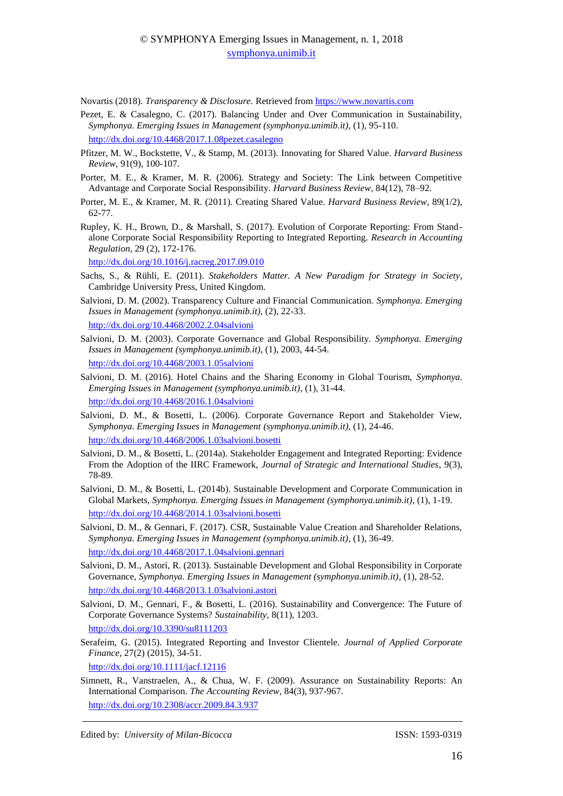Novartis (2018). *Transparency & Disclosure.* Retrieved fro[m https://www.novartis.com](https://www.novartis.com/) 

- Pezet, E. & Casalegno, C. (2017). Balancing Under and Over Communication in Sustainability, *Symphonya. Emerging Issues in Management (symphonya.unimib.it)*, (1), 95-110. <http://dx.doi.org/10.4468/2017.1.08pezet.casalegno>
- Pfitzer, M. W., Bockstette, V., & Stamp, M. (2013). Innovating for Shared Value. *Harvard Business Review*, 91(9), 100-107.
- Porter, M. E., & Kramer, M. R. (2006). Strategy and Society: The Link between Competitive Advantage and Corporate Social Responsibility. *Harvard Business Review*, 84(12), 78–92.
- Porter, M. E., & Kramer, M. R. (2011). Creating Shared Value. *Harvard Business Review*, 89(1/2), 62-77.
- Rupley, K. H., Brown, D., & Marshall, S. (2017). Evolution of Corporate Reporting: From Standalone Corporate Social Responsibility Reporting to Integrated Reporting. *Research in Accounting Regulation*, 29 (2), 172-176.

<http://dx.doi.org/10.1016/j.racreg.2017.09.010>

- Sachs, S., & Rühli, E. (2011). *Stakeholders Matter. A New Paradigm for Strategy in Society*, Cambridge University Press, United Kingdom.
- Salvioni, D. M. (2002). Transparency Culture and Financial Communication. *Symphonya. Emerging Issues in Management (symphonya.unimib.it)*, (2), 22-33. <http://dx.doi.org/10.4468/2002.2.04salvioni>
- Salvioni, D. M. (2003). Corporate Governance and Global Responsibility. *Symphonya. Emerging Issues in Management (symphonya.unimib.it)*, (1), 2003, 44-54. <http://dx.doi.org/10.4468/2003.1.05salvioni>
- Salvioni, D. M. (2016). Hotel Chains and the Sharing Economy in Global Tourism, *Symphonya. Emerging Issues in Management (symphonya.unimib.it)*, (1), 31-44. <http://dx.doi.org/10.4468/2016.1.04salvioni>
- Salvioni, D. M., & Bosetti, L. (2006). Corporate Governance Report and Stakeholder View, *Symphonya. Emerging Issues in Management (symphonya.unimib.it)*, (1), 24-46. http://dx.doi.org/10.4468/2006.1.03salvioni.bosetti
- Salvioni, D. M., & Bosetti, L. (2014a). Stakeholder Engagement and Integrated Reporting: Evidence From the Adoption of the IIRC Framework, *Journal of Strategic and International Studies*, 9(3), 78-89.
- Salvioni, D. M., & Bosetti, L. (2014b). Sustainable Development and Corporate Communication in Global Markets, *Symphonya. Emerging Issues in Management (symphonya.unimib.it)*, (1), 1-19. <http://dx.doi.org/10.4468/2014.1.03salvioni.bosetti>
- Salvioni, D. M., & Gennari, F. (2017). CSR, Sustainable Value Creation and Shareholder Relations, *Symphonya. Emerging Issues in Management (symphonya.unimib.it)*, (1), 36-49. <http://dx.doi.org/10.4468/2017.1.04salvioni.gennari>
- Salvioni, D. M., Astori, R. (2013). Sustainable Development and Global Responsibility in Corporate Governance, *Symphonya. Emerging Issues in Management (symphonya.unimib.it)*, (1), 28-52. http://dx.doi.org/10.4468/2013.1.03salvioni.astori
- Salvioni, D. M., Gennari, F., & Bosetti, L. (2016). Sustainability and Convergence: The Future of Corporate Governance Systems? *Sustainability*, 8(11), 1203. <http://dx.doi.org/10.3390/su8111203>
- Serafeim, G. (2015). Integrated Reporting and Investor Clientele. *Journal of Applied Corporate Finance*, 27(2) (2015), 34-51.

<http://dx.doi.org/10.1111/jacf.12116>

Simnett, R., Vanstraelen, A., & Chua, W. F. (2009). Assurance on Sustainability Reports: An International Comparison. *The Accounting Review*, 84(3), 937-967. <http://dx.doi.org/10.2308/accr.2009.84.3.937>